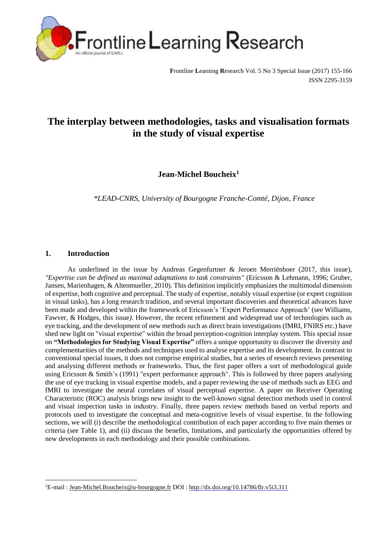

**F**rontline **L**earning **R**esearch Vol. 5 No 3 Special Issue (2017) 155-166 ISSN 2295-3159

# **The interplay between methodologies, tasks and visualisation formats in the study of visual expertise**

**Jean-Michel Boucheix<sup>1</sup>**

*\*LEAD-CNRS, University of Bourgogne Franche-Comté, Dijon, France*

# **1. Introduction**

 $\overline{\phantom{a}}$ 

As underlined in the issue by Andreas Gegenfurtner & Jeroen Merriënboer (2017, this issue), *"Expertise can be defined as maximal adaptations to task constraints"* (Ericsson & Lehmann, 1996; Gruber, Jansen, Marienhagen, & Altenmueller, 2010)*.* This definition implicitly emphasizes the multimodal dimension of expertise, both cognitive and perceptual. The study of expertise, notably visual expertise (or expert cognition in visual tasks), has a long research tradition, and several important discoveries and theoretical advances have been made and developed within the framework of Ericsson's 'Expert Performance Approach' (see Williams, Fawver, & Hodges*,* this issue*)*. However, the recent refinement and widespread use of technologies such as eye tracking, and the development of new methods such as direct brain investigations (fMRI, FNIRS etc.) have shed new light on "visual expertise" within the broad perception-cognition interplay system. This special issue on **"Methodologies for Studying Visual Expertise"** offers a unique opportunity to discover the diversity and complementarities of the methods and techniques used to analyse expertise and its development. In contrast to conventional special issues, it does not comprise empirical studies, but a series of research reviews presenting and analysing different methods or frameworks. Thus, the first paper offers a sort of methodological guide using Ericsson & Smith's (1991) "expert performance approach". This is followed by three papers analysing the use of eye tracking in visual expertise models, and a paper reviewing the use of methods such as EEG and fMRI to investigate the neural correlates of visual perceptual expertise. A paper on Receiver Operating Characteristic (ROC) analysis brings new insight to the well-known signal detection methods used in control and visual inspection tasks in industry. Finally, three papers review methods based on verbal reports and protocols used to investigate the conceptual and meta-cognitive levels of visual expertise. In the following sections, we will (i) describe the methodological contribution of each paper according to five main themes or criteria (see Table 1), and (ii) discuss the benefits, limitations, and particularly the opportunities offered by new developments in each methodology and their possible combinations.

<sup>&</sup>lt;sup>1</sup>E-mail : [Jean-Michel.Boucheix@u-bourgogne.fr](mailto:Jean-Michel.Boucheix@u-bourgogne.fr) DOI : http://dx.doi.org/10.14786/flr.v5i3.311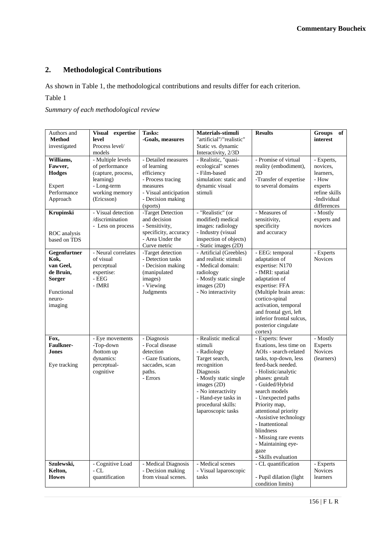# **2. Methodological Contributions**

As shown in Table 1, the methodological contributions and results differ for each criterion.

# Table 1

# *Summary of each methodological review*

| Authors and                                                                                        | Visual expertise                                                                                                      | Tasks:                                                                                                                                      | Materials-stimuli                                                                                                                                                                                                             | <b>Results</b>                                                                                                                                                                                                                                                                                                                                                                                         | <b>Groups</b><br>of                                                                                    |
|----------------------------------------------------------------------------------------------------|-----------------------------------------------------------------------------------------------------------------------|---------------------------------------------------------------------------------------------------------------------------------------------|-------------------------------------------------------------------------------------------------------------------------------------------------------------------------------------------------------------------------------|--------------------------------------------------------------------------------------------------------------------------------------------------------------------------------------------------------------------------------------------------------------------------------------------------------------------------------------------------------------------------------------------------------|--------------------------------------------------------------------------------------------------------|
| <b>Method</b>                                                                                      | level                                                                                                                 | -Goals, measures                                                                                                                            | "artificial"/"realistic"                                                                                                                                                                                                      |                                                                                                                                                                                                                                                                                                                                                                                                        | interest                                                                                               |
| investigated                                                                                       | Process level/                                                                                                        |                                                                                                                                             | Static vs. dynamic                                                                                                                                                                                                            |                                                                                                                                                                                                                                                                                                                                                                                                        |                                                                                                        |
|                                                                                                    | models                                                                                                                |                                                                                                                                             | Interactivity, 2/3D                                                                                                                                                                                                           |                                                                                                                                                                                                                                                                                                                                                                                                        |                                                                                                        |
| Williams,<br>Fawver,<br><b>Hodges</b><br>Expert<br>Performance<br>Approach                         | - Multiple levels<br>of performance<br>(capture, process,<br>learning)<br>- Long-term<br>working memory<br>(Ericsson) | - Detailed measures<br>of learning<br>efficiency<br>- Process tracing<br>measures<br>- Visual anticipation<br>- Decision making<br>(sports) | - Realistic, "quasi-<br>ecological" scenes<br>- Film-based<br>simulation: static and<br>dynamic visual<br>stimuli                                                                                                             | - Promise of virtual<br>reality (embodiment),<br>2D<br>-Transfer of expertise<br>to several domains                                                                                                                                                                                                                                                                                                    | - Experts,<br>novices.<br>learners,<br>- How<br>experts<br>refine skills<br>-Individual<br>differences |
| Krupinski<br>ROC analysis<br>based on TDS                                                          | - Visual detection<br>/discrimination<br>- Less on process                                                            | -Target Detection<br>and decision<br>- Sensitivity,<br>specificity, accuracy<br>- Area Under the<br>Curve metric                            | - "Realistic" (or<br>modified) medical<br>images: radiology<br>- Industry (visual<br>inspection of objects)<br>- Static images (2D)                                                                                           | - Measures of<br>sensitivity,<br>specificity<br>and accuracy                                                                                                                                                                                                                                                                                                                                           | - Mostly<br>experts and<br>novices                                                                     |
| Gegenfurtner<br>Kok,<br>van Geel,<br>de Bruin,<br><b>Sorger</b><br>Functional<br>neuro-<br>imaging | - Neural correlates<br>of visual<br>perceptual<br>expertise:<br>- $\rm{EEG}$<br>- fMRI                                | -Target detection<br>- Detection tasks<br>- Decision making<br>(manipulated<br>images)<br>- Viewing<br>Judgments                            | - Artificial (Greebles)<br>and realistic stimuli<br>- Medical domain:<br>radiology<br>- Mostly static single<br>images (2D)<br>- No interactivity                                                                             | - EEG: temporal<br>adaptation of<br>expertise: N170<br>- fMRI: spatial<br>adaptation of<br>expertise: FFA<br>(Multiple brain areas:<br>cortico-spinal<br>activation, temporal<br>and frontal gyri, left<br>inferior frontal sulcus,<br>posterior cingulate<br>cortex)                                                                                                                                  | - Experts<br><b>Novices</b>                                                                            |
| Fox,<br><b>Faulkner-</b><br>Jones<br>Eye tracking                                                  | - Eye movements<br>-Top-down<br>/bottom up<br>dynamics:<br>perceptual-<br>cognitive                                   | - Diagnosis<br>- Focal disease<br>detection<br>- Gaze fixations,<br>saccades, scan<br>paths.<br>- Errors                                    | - Realistic medical<br>stimuli<br>- Radiology<br>Target search,<br>recognition<br>Diagnosis<br>- Mostly static single<br>images (2D)<br>- No interactivity<br>- Hand-eye tasks in<br>procedural skills:<br>laparoscopic tasks | - Experts: fewer<br>fixations, less time on<br>AOIs - search-related<br>tasks, top-down, less<br>feed-back needed.<br>- Holistic/analytic<br>phases: gestalt<br>- Guided/Hybrid<br>search models<br>- Unexpected paths<br>Priority map,<br>attentional priority<br>-Assistive technology<br>- Inattentional<br>blindness<br>- Missing rare events<br>- Maintaining eye-<br>gaze<br>- Skills evaluation | - Mostly<br>Experts<br><b>Novices</b><br>(learners)                                                    |
| Szulewski,<br>Kelton,<br><b>Howes</b>                                                              | - Cognitive Load<br>- CL<br>quantification                                                                            | - Medical Diagnosis<br>- Decision making<br>from visual scenes.                                                                             | - Medical scenes<br>- Visual laparoscopic<br>tasks                                                                                                                                                                            | - CL quantification<br>- Pupil dilation (light<br>condition limits)                                                                                                                                                                                                                                                                                                                                    | - Experts<br><b>Novices</b><br>learners                                                                |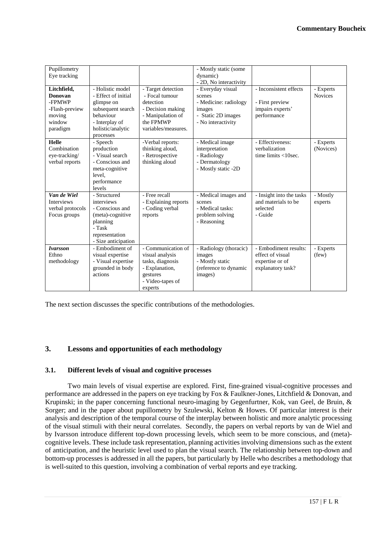| Pupillometry<br>Eye tracking                                                       | - Holistic model                                                                                                                 |                                                                                                                                 | - Mostly static (some<br>dynamic)<br>- 2D, No interactivity                                                | - Inconsistent effects                                                            |                             |
|------------------------------------------------------------------------------------|----------------------------------------------------------------------------------------------------------------------------------|---------------------------------------------------------------------------------------------------------------------------------|------------------------------------------------------------------------------------------------------------|-----------------------------------------------------------------------------------|-----------------------------|
| Litchfield,<br>Donovan<br>-FPMWP<br>-Flash-preview<br>moving<br>window<br>paradigm | - Effect of initial<br>glimpse on<br>subsequent search<br>behaviour<br>- Interplay of<br>holistic/analytic<br>processes          | - Target detection<br>- Focal tumour<br>detection<br>- Decision making<br>- Manipulation of<br>the FPMWP<br>variables/measures. | - Everyday visual<br>scenes<br>- Medicine: radiology<br>images<br>- Static 2D images<br>- No interactivity | - First preview<br>impairs experts'<br>performance                                | - Experts<br><b>Novices</b> |
| <b>Helle</b><br>Combination<br>eye-tracking/<br>verbal reports                     | - Speech<br>production<br>- Visual search<br>- Conscious and<br>meta-cognitive<br>level.<br>performance<br>levels                | -Verbal reports:<br>thinking aloud,<br>- Retrospective<br>thinking aloud                                                        | - Medical image<br>interpretation<br>- Radiology<br>- Dermatology<br>- Mostly static -2D                   | - Effectiveness:<br>verbalization<br>time limits $<$ 10sec.                       | - Experts<br>(Novices)      |
| Van de Wiel<br><b>Interviews</b><br>verbal protocols<br>Focus groups               | - Structured<br>interviews<br>- Conscious and<br>(meta)-cognitive<br>planning<br>- Task<br>representation<br>- Size anticipation | - Free recall<br>- Explaining reports<br>- Coding verbal<br>reports                                                             | - Medical images and<br>scenes<br>- Medical tasks:<br>problem solving<br>- Reasoning                       | - Insight into the tasks<br>and materials to be<br>selected<br>- Guide            | - Mostly<br>experts         |
| <b>Ivarsson</b><br>Ethno<br>methodology                                            | - Embodiment of<br>visual expertise<br>- Visual expertise<br>grounded in body<br>actions                                         | - Communication of<br>visual analysis<br>tasks, diagnosis<br>- Explanation,<br>gestures<br>- Video-tapes of<br>experts          | - Radiology (thoracic)<br>images<br>- Mostly static<br>(reference to dynamic<br>images)                    | - Embodiment results:<br>effect of visual<br>expertise or of<br>explanatory task? | - Experts<br>(few)          |

The next section discusses the specific contributions of the methodologies.

## **3. Lessons and opportunities of each methodology**

#### **3.1. Different levels of visual and cognitive processes**

Two main levels of visual expertise are explored. First, fine-grained visual-cognitive processes and performance are addressed in the papers on eye tracking by Fox & Faulkner-Jones, Litchfield & Donovan, and Krupinski; in the paper concerning functional neuro-imaging by Gegenfurtner, Kok, van Geel, de Bruin, & Sorger; and in the paper about pupillometry by Szulewski, Kelton & Howes. Of particular interest is their analysis and description of the temporal course of the interplay between holistic and more analytic processing of the visual stimuli with their neural correlates. Secondly, the papers on verbal reports by van de Wiel and by Ivarsson introduce different top-down processing levels, which seem to be more conscious, and (meta) cognitive levels. These include task representation, planning activities involving dimensions such as the extent of anticipation, and the heuristic level used to plan the visual search. The relationship between top-down and bottom-up processes is addressed in all the papers, but particularly by Helle who describes a methodology that is well-suited to this question, involving a combination of verbal reports and eye tracking.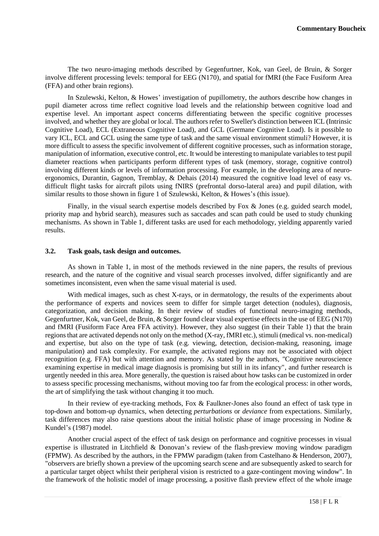The two neuro-imaging methods described by Gegenfurtner, Kok, van Geel, de Bruin, & Sorger involve different processing levels: temporal for EEG (N170), and spatial for fMRI (the Face Fusiform Area (FFA) and other brain regions).

In Szulewski, Kelton, & Howes' investigation of pupillometry, the authors describe how changes in pupil diameter across time reflect cognitive load levels and the relationship between cognitive load and expertise level. An important aspect concerns differentiating between the specific cognitive processes involved, and whether they are global or local. The authors refer to Sweller's distinction between ICL (Intrinsic Cognitive Load), ECL (Extraneous Cognitive Load), and GCL (Germane Cognitive Load). Is it possible to vary ICL, ECL and GCL using the same type of task and the same visual environment stimuli? However, it is more difficult to assess the specific involvement of different cognitive processes, such as information storage, manipulation of information, executive control, etc. It would be interesting to manipulate variables to test pupil diameter reactions when participants perform different types of task (memory, storage, cognitive control) involving different kinds or levels of information processing. For example, in the developing area of neuroergonomics, Durantin, Gagnon, Tremblay, & Dehais (2014) measured the cognitive load level of easy vs. difficult flight tasks for aircraft pilots using fNIRS (prefrontal dorso-lateral area) and pupil dilation, with similar results to those shown in figure 1 of Szulewski, Kelton, & Howes's (this issue).

Finally, in the visual search expertise models described by Fox & Jones (e.g. guided search model, priority map and hybrid search), measures such as saccades and scan path could be used to study chunking mechanisms. As shown in Table 1, different tasks are used for each methodology, yielding apparently varied results.

#### **3.2. Task goals, task design and outcomes.**

As shown in Table 1, in most of the methods reviewed in the nine papers, the results of previous research, and the nature of the cognitive and visual search processes involved, differ significantly and are sometimes inconsistent, even when the same visual material is used.

With medical images, such as chest X-rays, or in dermatology, the results of the experiments about the performance of experts and novices seem to differ for simple target detection (nodules), diagnosis, categorization, and decision making. In their review of studies of functional neuro-imaging methods, Gegenfurtner, Kok, van Geel, de Bruin, & Sorger found clear visual expertise effects in the use of EEG (N170) and fMRI (Fusiform Face Area FFA activity). However, they also suggest (in their Table 1) that the brain regions that are activated depends not only on the method (X-ray, fMRI etc.), stimuli (medical vs. non-medical) and expertise, but also on the type of task (e.g. viewing, detection, decision-making, reasoning, image manipulation) and task complexity. For example, the activated regions may not be associated with object recognition (e.g. FFA) but with attention and memory. As stated by the authors, *"*Cognitive neuroscience examining expertise in medical image diagnosis is promising but still in its infancy", and further research is urgently needed in this area. More generally, the question is raised about how tasks can be customized in order to assess specific processing mechanisms, without moving too far from the ecological process: in other words, the art of simplifying the task without changing it too much.

In their review of eye-tracking methods, Fox & Faulkner-Jones also found an effect of task type in top-down and bottom-up dynamics*,* when detecting *perturbations* or *deviance* from expectations. Similarly, task differences may also raise questions about the initial holistic phase of image processing in Nodine & Kundel's (1987) model.

Another crucial aspect of the effect of task design on performance and cognitive processes in visual expertise is illustrated in Litchfield & Donovan's review of the flash-preview moving window paradigm (FPMW). As described by the authors, in the FPMW paradigm (taken from Castelhano & Henderson, 2007), "observers are briefly shown a preview of the upcoming search scene and are subsequently asked to search for a particular target object whilst their peripheral vision is restricted to a gaze-contingent moving window". In the framework of the holistic model of image processing, a positive flash preview effect of the whole image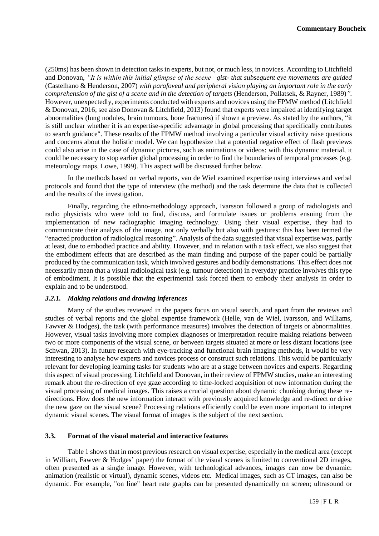(250ms) has been shown in detection tasks in experts, but not, or much less, in novices. According to Litchfield and Donovan, *"It is within this initial glimpse of the scene –gist- that subsequent eye movements are guided*  (Castelhano & Henderson, 2007) *with parafoveal and peripheral vision playing an important role in the early comprehension of the gist of a scene and in the detection of targets* (Henderson, Pollatsek, & Rayner, 1989)*".* However, unexpectedly, experiments conducted with experts and novices using the FPMW method (Litchfield & Donovan, 2016; see also Donovan & Litchfield, 2013) found that experts were impaired at identifying target abnormalities (lung nodules, brain tumours, bone fractures) if shown a preview. As stated by the authors, "it is still unclear whether it is an expertise-specific advantage in global processing that specifically contributes to search guidance". These results of the FPMW method involving a particular visual activity raise questions and concerns about the holistic model. We can hypothesize that a potential negative effect of flash previews could also arise in the case of dynamic pictures, such as animations or videos: with this dynamic material, it could be necessary to stop earlier global processing in order to find the boundaries of temporal processes (e.g. meteorology maps, Lowe, 1999). This aspect will be discussed further below.

In the methods based on verbal reports, van de Wiel examined expertise using interviews and verbal protocols and found that the type of interview (the method) and the task determine the data that is collected and the results of the investigation.

Finally, regarding the ethno-methodology approach, Ivarsson followed a group of radiologists and radio physicists who were told to find, discuss, and formulate issues or problems ensuing from the implementation of new radiographic imaging technology. Using their visual expertise, they had to communicate their analysis of the image, not only verbally but also with gestures: this has been termed the "enacted production of radiological reasoning". Analysis of the data suggested that visual expertise was, partly at least, due to embodied practice and ability. However, and in relation with a task effect, we also suggest that the embodiment effects that are described as the main finding and purpose of the paper could be partially produced by the communication task, which involved gestures and bodily demonstrations. This effect does not necessarily mean that a visual radiological task (e.g. tumour detection) in everyday practice involves this type of embodiment. It is possible that the experimental task forced them to embody their analysis in order to explain and to be understood.

#### *3.2.1. Making relations and drawing inferences*

Many of the studies reviewed in the papers focus on visual search, and apart from the reviews and studies of verbal reports and the global expertise framework (Helle, van de Wiel, Ivarsson, and Williams, Fawver & Hodges), the task (with performance measures) involves the detection of targets or abnormalities. However, visual tasks involving more complex diagnoses or interpretation require making relations between two or more components of the visual scene, or between targets situated at more or less distant locations (see Schwan, 2013). In future research with eye-tracking and functional brain imaging methods, it would be very interesting to analyse how experts and novices process or construct such relations. This would be particularly relevant for developing learning tasks for students who are at a stage between novices and experts. Regarding this aspect of visual processing, Litchfield and Donovan, in their review of FPMW studies, make an interesting remark about the re-direction of eye gaze according to time-locked acquisition of new information during the visual processing of medical images. This raises a crucial question about dynamic chunking during these redirections. How does the new information interact with previously acquired knowledge and re-direct or drive the new gaze on the visual scene? Processing relations efficiently could be even more important to interpret dynamic visual scenes. The visual format of images is the subject of the next section.

#### **3.3. Format of the visual material and interactive features**

Table 1 shows that in most previous research on visual expertise, especially in the medical area (except in William, Fawver & Hodges' paper) the format of the visual scenes is limited to conventional 2D images, often presented as a single image. However, with technological advances, images can now be dynamic: animation (realistic or virtual), dynamic scenes, videos etc. Medical images, such as CT images, can also be dynamic. For example, "on line" heart rate graphs can be presented dynamically on screen; ultrasound or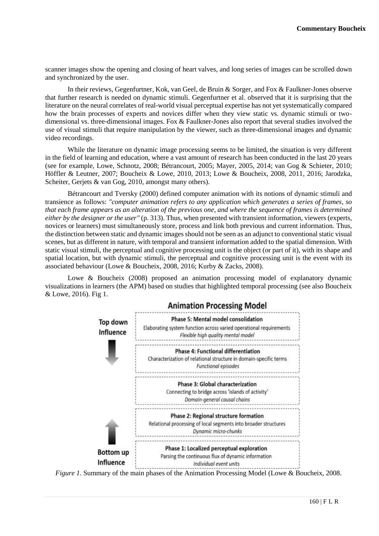scanner images show the opening and closing of heart valves, and long series of images can be scrolled down and synchronized by the user.

In their reviews, Gegenfurtner, Kok, van Geel, de Bruin & Sorger, and Fox & Faulkner-Jones observe that further research is needed on dynamic stimuli. Gegenfurtner et al. observed that it is surprising that the literature on the neural correlates of real-world visual perceptual expertise has not yet systematically compared how the brain processes of experts and novices differ when they view static vs. dynamic stimuli or twodimensional vs. three-dimensional images. Fox & Faulkner-Jones also report that several studies involved the use of visual stimuli that require manipulation by the viewer, such as three-dimensional images and dynamic video recordings.

While the literature on dynamic image processing seems to be limited, the situation is very different in the field of learning and education, where a vast amount of research has been conducted in the last 20 years (see for example, Lowe, Schnotz, 2008; Bétrancourt, 2005; Mayer, 2005, 2014; van Gog & Schieter, 2010; Höffler & Leutner, 2007; Boucheix & Lowe, 2010, 2013; Lowe & Boucheix, 2008, 2011, 2016; Jarodzka, Scheiter, Gerjets & van Gog, 2010, amongst many others).

Bétrancourt and Tversky (2000) defined computer animation with its notions of dynamic stimuli and transience as follows: *"computer animation refers to any application which generates a series of frames, so that each frame appears as an alteration of the previous one, and where the sequence of frames is determined either by the designer or the user"* (p. 313). Thus, when presented with transient information, viewers (experts, novices or learners) must simultaneously store, process and link both previous and current information. Thus, the distinction between static and dynamic images should not be seen as an adjunct to conventional static visual scenes, but as different in nature, with temporal and transient information added to the spatial dimension. With static visual stimuli, the perceptual and cognitive processing unit is the object (or part of it), with its shape and spatial location, but with dynamic stimuli, the perceptual and cognitive processing unit is the event with its associated behaviour (Lowe & Boucheix, 2008, 2016; Kurby & Zacks, 2008).

Lowe & Boucheix (2008) proposed an animation processing model of explanatory dynamic visualizations in learners (the APM) based on studies that highlighted temporal processing (see also Boucheix & Lowe, 2016). Fig 1.



*Figure 1*. Summary of the main phases of the Animation Processing Model (Lowe & Boucheix, 2008.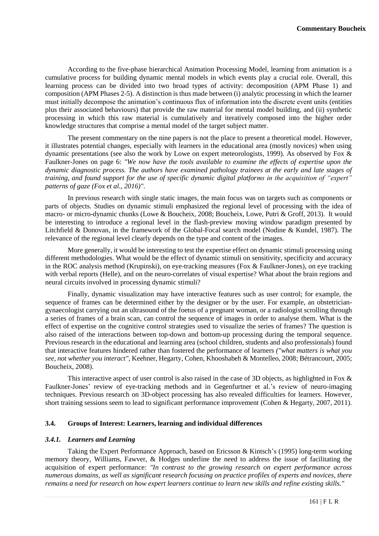According to the five-phase hierarchical Animation Processing Model, learning from animation is a cumulative process for building dynamic mental models in which events play a crucial role. Overall, this learning process can be divided into two broad types of activity: decomposition (APM Phase 1) and composition (APM Phases 2-5). A distinction is thus made between (i) analytic processing in which the learner must initially decompose the animation's continuous flux of information into the discrete event units (entities plus their associated behaviours) that provide the raw material for mental model building, and (ii) synthetic processing in which this raw material is cumulatively and iteratively composed into the higher order knowledge structures that comprise a mental model of the target subject matter.

The present commentary on the nine papers is not the place to present a theoretical model. However, it illustrates potential changes, especially with learners in the educational area (mostly novices) when using dynamic presentations (see also the work by Lowe on expert meteorologists, 1999). As observed by Fox & Faulkner-Jones on page 6: *"We now have the tools available to examine the effects of expertise upon the dynamic diagnostic process. The authors have examined pathology trainees at the early and late stages of training, and found support for the use of specific dynamic digital platforms in the acquisition of "expert" patterns of gaze (Fox et al., 2016)".* 

In previous research with single static images, the main focus was on targets such as components or parts of objects. Studies on dynamic stimuli emphasized the regional level of processing with the idea of macro- or micro-dynamic chunks (Lowe & Boucheix, 2008; Boucheix, Lowe, Putri & Groff, 2013). It would be interesting to introduce a regional level in the flash-preview moving window paradigm presented by Litchfield & Donovan, in the framework of the Global-Focal search model (Nodine & Kundel, 1987). The relevance of the regional level clearly depends on the type and content of the images.

More generally, it would be interesting to test the expertise effect on dynamic stimuli processing using different methodologies. What would be the effect of dynamic stimuli on sensitivity, specificity and accuracy in the ROC analysis method (Krupinski), on eye-tracking measures (Fox & Faulkner-Jones), on eye tracking with verbal reports (Helle), and on the neuro-correlates of visual expertise? What about the brain regions and neural circuits involved in processing dynamic stimuli?

Finally, dynamic visualization may have interactive features such as user control; for example, the sequence of frames can be determined either by the designer or by the user. For example, an obstetriciangynaecologist carrying out an ultrasound of the foetus of a pregnant woman, or a radiologist scrolling through a series of frames of a brain scan, can control the sequence of images in order to analyse them. What is the effect of expertise on the cognitive control strategies used to visualize the series of frames? The question is also raised of the interactions between top-down and bottom-up processing during the temporal sequence. Previous research in the educational and learning area (school children, students and also professionals) found that interactive features hindered rather than fostered the performance of learners *("what matters is what you see, not whether you interact"*, Keehner, Hegarty, Cohen, Khooshabeh & Montelleo, 2008; Bétrancourt, 2005; Boucheix, 2008).

This interactive aspect of user control is also raised in the case of 3D objects, as highlighted in Fox & Faulkner-Jones' review of eye-tracking methods and in Gegenfurtner et al.'s review of neuro-imaging techniques. Previous research on 3D-object processing has also revealed difficulties for learners. However, short training sessions seem to lead to significant performance improvement (Cohen & Hegarty, 2007, 2011).

#### **3.4. Groups of Interest: Learners, learning and individual differences**

#### *3.4.1. Learners and Learning*

Taking the Expert Performance Approach, based on Ericsson & Kintsch's (1995) long-term working memory theory, Williams, Fawver, & Hodges underline the need to address the issue of facilitating the acquisition of expert performance: *"In contrast to the growing research on expert performance across numerous domains, as well as significant research focusing on practice profiles of experts and novices, there remains a need for research on how expert learners continue to learn new skills and refine existing skills."*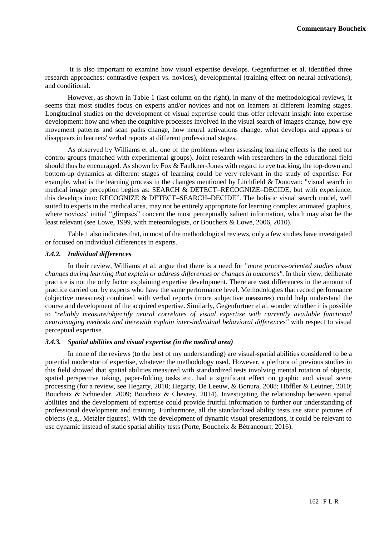It is also important to examine how visual expertise develops. Gegenfurtner et al. identified three research approaches: contrastive (expert vs. novices), developmental (training effect on neural activations), and conditional.

However, as shown in Table 1 (last column on the right), in many of the methodological reviews, it seems that most studies focus on experts and/or novices and not on learners at different learning stages. Longitudinal studies on the development of visual expertise could thus offer relevant insight into expertise development: how and when the cognitive processes involved in the visual search of images change, how eye movement patterns and scan paths change, how neural activations change, what develops and appears or disappears in learners' verbal reports at different professional stages.

As observed by Williams et al., one of the problems when assessing learning effects is the need for control groups (matched with experimental groups). Joint research with researchers in the educational field should thus be encouraged. As shown by Fox & Faulkner-Jones with regard to eye tracking, the top-down and bottom-up dynamics at different stages of learning could be very relevant in the study of expertise. For example, what is the learning process in the changes mentioned by Litchfield & Donovan: "visual search in medical image perception begins as: SEARCH & DETECT–RECOGNIZE–DECIDE, but with experience, this develops into: RECOGNIZE & DETECT–SEARCH–DECIDE". The holistic visual search model, well suited to experts in the medical area, may not be entirely appropriate for learning complex animated graphics, where novices' initial "glimpses" concern the most perceptually salient information, which may also be the least relevant (see Lowe, 1999, with meteorologists, or Boucheix & Lowe, 2006, 2010).

Table 1 also indicates that, in most of the methodological reviews, only a few studies have investigated or focused on individual differences in experts.

#### *3.4.2. Individual differences*

In their review, Williams et al. argue that there is a need for "*more process-oriented studies about changes during learning that explain or address differences or changes in outcomes".* In their view*,* deliberate practice is not the only factor explaining expertise development. There are vast differences in the amount of practice carried out by experts who have the same performance level. Methodologies that record performance (objective measures) combined with verbal reports (more subjective measures) could help understand the course and development of the acquired expertise. Similarly, Gegenfurtner et al. wonder whether it is possible to *"reliably measure/objectify neural correlates of visual expertise with currently available functional neuroimaging methods and therewith explain inter-individual behavioral differences"* with respect to visual perceptual expertise.

#### *3.4.3. Spatial abilities and visual expertise (in the medical area)*

In none of the reviews (to the best of my understanding) are visual-spatial abilities considered to be a potential moderator of expertise, whatever the methodology used. However, a plethora of previous studies in this field showed that spatial abilities measured with standardized tests involving mental rotation of objects, spatial perspective taking, paper-folding tasks etc. had a significant effect on graphic and visual scene processing (for a review, see Hegarty, 2010; Hegarty, De Leeuw, & Bonura, 2008; Höffler & Leutner, 2010; Boucheix & Schneider, 2009; Boucheix & Chevrey, 2014). Investigating the relationship between spatial abilities and the development of expertise could provide fruitful information to further our understanding of professional development and training. Furthermore, all the standardized ability tests use static pictures of objects (e.g., Metzler figures). With the development of dynamic visual presentations, it could be relevant to use dynamic instead of static spatial ability tests (Porte, Boucheix & Bétrancourt, 2016).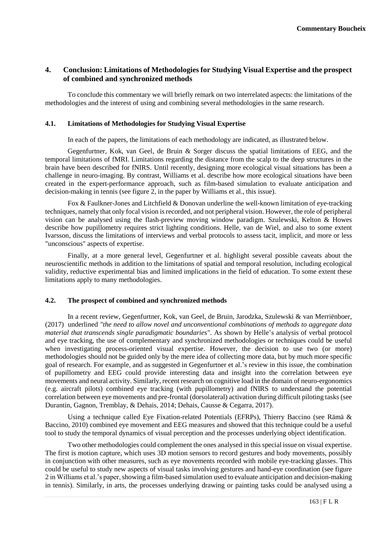## **4. Conclusion: Limitations of Methodologies for Studying Visual Expertise and the prospect of combined and synchronized methods**

To conclude this commentary we will briefly remark on two interrelated aspects: the limitations of the methodologies and the interest of using and combining several methodologies in the same research.

#### **4.1. Limitations of Methodologies for Studying Visual Expertise**

In each of the papers, the limitations of each methodology are indicated, as illustrated below.

Gegenfurtner, Kok, van Geel, de Bruin & Sorger discuss the spatial limitations of EEG, and the temporal limitations of fMRI. Limitations regarding the distance from the scalp to the deep structures in the brain have been described for fNIRS. Until recently, designing more ecological visual situations has been a challenge in neuro-imaging. By contrast, Williams et al. describe how more ecological situations have been created in the expert-performance approach, such as film-based simulation to evaluate anticipation and decision-making in tennis (see figure 2, in the paper by Williams et al., this issue).

Fox & Faulkner-Jones and Litchfield & Donovan underline the well-known limitation of eye-tracking techniques, namely that only focal vision is recorded, and not peripheral vision. However, the role of peripheral vision can be analysed using the flash-preview moving window paradigm. Szulewski, Kelton & Howes describe how pupillometry requires strict lighting conditions. Helle, van de Wiel, and also to some extent Ivarsson, discuss the limitations of interviews and verbal protocols to assess tacit, implicit, and more or less "unconscious" aspects of expertise.

Finally, at a more general level, Gegenfurtner et al. highlight several possible caveats about the neuroscientific methods in addition to the limitations of spatial and temporal resolution, including ecological validity, reductive experimental bias and limited implications in the field of education. To some extent these limitations apply to many methodologies.

#### **4.2. The prospect of combined and synchronized methods**

In a recent review, Gegenfurtner, Kok, van Geel, de Bruin, Jarodzka, Szulewski & van Merriënboer, (2017) underlined *"the need to allow novel and unconventional combinations of methods to aggregate data material that transcends single paradigmatic boundaries".* As shown by Helle's analysis of verbal protocol and eye tracking, the use of complementary and synchronized methodologies or techniques could be useful when investigating process-oriented visual expertise. However, the decision to use two (or more) methodologies should not be guided only by the mere idea of collecting more data, but by much more specific goal of research. For example, and as suggested in Gegenfurtner et al.'s review in this issue, the combination of pupillometry and EEG could provide interesting data and insight into the correlation between eye movements and neural activity. Similarly, recent research on cognitive load in the domain of neuro-ergonomics (e.g. aircraft pilots) combined eye tracking (with pupillometry) and fNIRS to understand the potential correlation between eye movements and pre-frontal (dorsolateral) activation during difficult piloting tasks (see Durantin, Gagnon, Tremblay, & Dehais, 2014; Dehais, Causse & Cegarra, 2017).

Using a technique called Eye Fixation-related Potentials (EFRPs), Thierry Baccino (see [Rämä &](https://www.ncbi.nlm.nih.gov/pubmed/?term=R%C3%A4m%C3%A4%20P%5BAuthor%5D&cauthor=true&cauthor_uid=20939937) [Baccino,](https://www.ncbi.nlm.nih.gov/pubmed/?term=Baccino%20T%5BAuthor%5D&cauthor=true&cauthor_uid=20939937) 2010) combined eye movement and EEG measures and showed that this technique could be a useful tool to study the temporal dynamics of visual perception and the processes underlying object identification.

Two other methodologies could complement the ones analysed in this special issue on visual expertise. The first is motion capture, which uses 3D motion sensors to record gestures and body movements, possibly in conjunction with other measures, such as eye movements recorded with mobile eye-tracking glasses. This could be useful to study new aspects of visual tasks involving gestures and hand-eye coordination (see figure 2 in Williams et al.'s paper, showing a film-based simulation used to evaluate anticipation and decision-making in tennis). Similarly, in arts, the processes underlying drawing or painting tasks could be analysed using a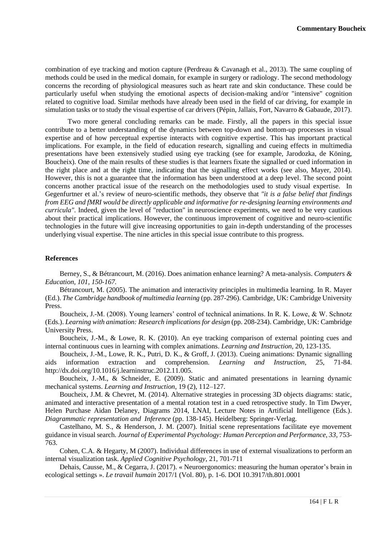combination of eye tracking and motion capture (Perdreau & Cavanagh et al., 2013). The same coupling of methods could be used in the medical domain, for example in surgery or radiology. The second methodology concerns the recording of physiological measures such as heart rate and skin conductance. These could be particularly useful when studying the emotional aspects of decision-making and/or "intensive" cognition related to cognitive load. Similar methods have already been used in the field of car driving, for example in simulation tasks or to study the visual expertise of car drivers (Pépin, Jallais, Fort, Navarro & Gabaude, 2017).

Two more general concluding remarks can be made. Firstly, all the papers in this special issue contribute to a better understanding of the dynamics between top-down and bottom-up processes in visual expertise and of how perceptual expertise interacts with cognitive expertise. This has important practical implications. For example, in the field of education research, signalling and cueing effects in multimedia presentations have been extensively studied using eye tracking (see for example, Jarodozka, de Köning, Boucheix). One of the main results of these studies is that learners fixate the signalled or cued information in the right place and at the right time, indicating that the signalling effect works (see also, Mayer, 2014). However, this is not a guarantee that the information has been understood at a deep level. The second point concerns another practical issue of the research on the methodologies used to study visual expertise. In Gegenfurtner et al.'s review of neuro-scientific methods, they observe that *"it is a false belief that findings from EEG and fMRI would be directly applicable and informative for re-designing learning environments and curricula".* Indeed, given the level of "reduction" in neuroscience experiments, we need to be very cautious about their practical implications. However, the continuous improvement of cognitive and neuro-scientific technologies in the future will give increasing opportunities to gain in-depth understanding of the processes underlying visual expertise. The nine articles in this special issue contribute to this progress.

### **References**

Berney, S., & Bétrancourt, M. (2016). Does animation enhance learning? A meta-analysis. *Computers & Education, 101, 150-167.*

Bétrancourt, M. (2005). The animation and interactivity principles in multimedia learning. In R. Mayer (Ed.). *The Cambridge handbook of multimedia learning* (pp. 287-296). Cambridge, UK: Cambridge University Press.

Boucheix, J.-M. (2008). Young learners' control of technical animations. In R. K. Lowe, & W. Schnotz (Eds.). *Learning with animation: Research implications for design* (pp. 208-234). Cambridge, UK: Cambridge University Press.

Boucheix, J.-M., & Lowe, R. K. (2010). An eye tracking comparison of external pointing cues and internal continuous cues in learning with complex animations. *Learning and Instruction,* 20, 123-135.

Boucheix, J.-M., Lowe, R. K., Putri, D. K., & Groff, J. (2013). Cueing animations: Dynamic signalling aids information extraction and comprehension. *Learning and Instruction*, 25, 71-84. http://dx.doi.org/10.1016/j.learninstruc.2012.11.005.

Boucheix, J.-M., & Schneider, E. (2009). Static and animated presentations in learning dynamic mechanical systems. *Learning and Instruction*, 19 (2), 112–127.

[Boucheix, J.M.](http://leadserv.u-bourgogne.fr/fr/membres/jean-michel-boucheix) & Chevret, M. (2014). Alternative strategies in processing 3D objects diagrams: static, animated and interactive presentation of a mental rotation test in a cued retrospective study. In Tim Dwyer, Helen Purchase Aidan Delaney, Diagrams 2014, LNAI, Lecture Notes in Artificial Intelligence (Eds.). *Diagrammatic representation and Inference* (pp. 138-145). Heidelberg: Springer-Verlag.

Castelhano, M. S., & Henderson, J. M. (2007). Initial scene representations facilitate eye movement guidance in visual search. *Journal of Experimental Psychology: Human Perception and Performance, 33*, 753- 763.

Cohen, C.A. & Hegarty, M (2007). Individual differences in use of external visualizations to perform an internal visualization task. *Applied Cognitive Psychology*, 21, 701-711

Dehais, Causse, M., & Cegarra, J. (2017). « Neuroergonomics: measuring the human operator's brain in ecological settings ». *Le travail humain* 2017/1 (Vol. 80), p. 1-6. DOI 10.3917/th.801.0001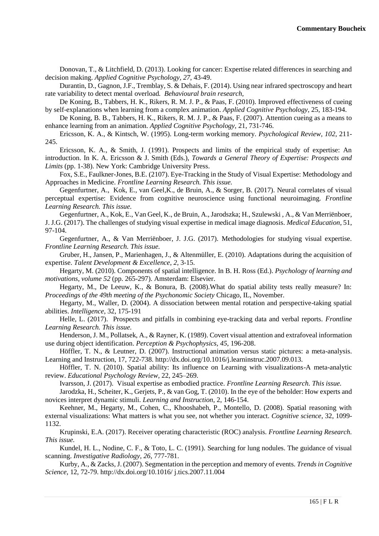Donovan, T., & Litchfield, D. (2013). Looking for cancer: Expertise related differences in searching and decision making. *Applied Cognitive Psychology, 27*, 43-49.

Durantin, D., Gagnon, J.F., Tremblay, S. & Dehais, F. (2014). [Using near infrared spectroscopy and heart](https://scholar.google.fr/scholar?oi=bibs&cluster=13130480308526016709&btnI=1&hl=en)  [rate variability to detect mental](https://scholar.google.fr/scholar?oi=bibs&cluster=13130480308526016709&btnI=1&hl=en) overload*. Behavioural brain research,*

De Koning, B., Tabbers, H. K., Rikers, R. M. J. P., & Paas, F. (2010). Improved effectiveness of cueing by self-explanations when learning from a complex animation. *Applied Cognitive Psychology*, 25, 183-194.

De Koning, B. B., Tabbers, H. K., Rikers, R. M. J. P., & Paas, F. (2007). Attention cueing as a means to enhance learning from an animation. *Applied Cognitive Psychology,* 21, 731-746.

Ericsson, K. A., & Kintsch, W. (1995). Long-term working memory. *Psychological Review, 102*, 211- 245.

Ericsson, K. A., & Smith, J. (1991). Prospects and limits of the empirical study of expertise: An introduction. In K. A. Ericsson & J. Smith (Eds.), *Towards a General Theory of Expertise: Prospects and Limits* (pp. 1-38). New York: Cambridge University Press.

Fox, S.E., Faulkner-Jones*,* B.E. (2107). Eye-Tracking in the Study of Visual Expertise: Methodology and Approaches in Medicine. *Frontline Learning Research. This issue.*

Gegenfurtner, A., Kok, E., van Geel,K., de Bruin, A., & Sorger, B. (2017). Neural correlates of visual perceptual expertise: Evidence from cognitive neuroscience using functional neuroimaging. *Frontline Learning Research. This issue.*

Gegenfurtner, A., Kok, E., Van Geel, K., de Bruin, A., Jarodszka; H., Szulewski , A., & Van Merriënboer, J. J.G. (2017). The challenges of studying visual expertise in medical image diagnosis. *Medical Education*, 51, 97-104.

Gegenfurtner, A., & Van Merriënboer, J. J.G. (2017). Methodologies for studying visual expertise. *Frontline Learning Research. This issue.*

Gruber, H., Jansen, P., Marienhagen, J., & Altenmüller, E. (2010). Adaptations during the acquisition of expertise. *Talent Development & Excellence*, *2*, 3-15.

Hegarty, M. (2010). Components of spatial intelligence. In B. H. Ross (Ed.). *Psychology of learning and motivations, volume 52* (pp. 265-297). Amsterdam: Elsevier.

Hegarty, M., De Leeuw, K., & Bonura, B. (2008).What do spatial ability tests really measure? In: *Proceedings of the 49th meeting of the Psychonomic Society* Chicago, IL, November.

Hegarty, M., Waller, D. (2004). A dissociation between mental rotation and perspective-taking spatial abilities. *Intelligence*, 32, 175-191

Helle, L. (2017). Prospects and pitfalls in combining eye-tracking data and verbal reports. *Frontline Learning Research. This issue.* 

Henderson, J. M., Pollatsek, A., & Rayner, K. (1989). Covert visual attention and extrafoveal information use during object identification. *Perception & Psychophysics, 45*, 196-208.

Höffler, T. N., & Leutner, D. (2007). Instructional animation versus static pictures: a meta-analysis. Learning and Instruction, 17, 722-738. http://dx.doi.org/10.1016/j.learninstruc.2007.09.013.

Höffler, T. N. (2010). Spatial ability: Its influence on Learning with visualizations-A meta-analytic review. *Educational Psychology Review,* 22, 245–269.

Ivarsson, J. (2017). Visual expertise as embodied practice. *Frontline Learning Research. This issue.*

Jarodzka, H., Scheiter, K., Gerjets, P., & van Gog, T. (2010). In the eye of the beholder: How experts and novices interpret dynamic stimuli. *Learning and Instruction*, 2, 146-154.

Keehner, M., Hegarty, M., Cohen, C., Khooshabeh, P., Montello, D. (2008). Spatial reasoning with external visualizations: What matters is what you see, not whether you interact. *Cognitive science*, 32, 1099- 1132.

Krupinski, E.A. (2017). Receiver operating characteristic (ROC) analysis. *Frontline Learning Research. This issue.*

Kundel, H. L., Nodine, C. F., & Toto, L. C. (1991). Searching for lung nodules. The guidance of visual scanning. *Investigative Radiology, 26*, 777-781.

Kurby, A., & Zacks, J. (2007). Segmentation in the perception and memory of events. *Trends in Cognitive Science*, 12, 72-79. http://dx.doi.org/10.1016/ j.tics.2007.11.004